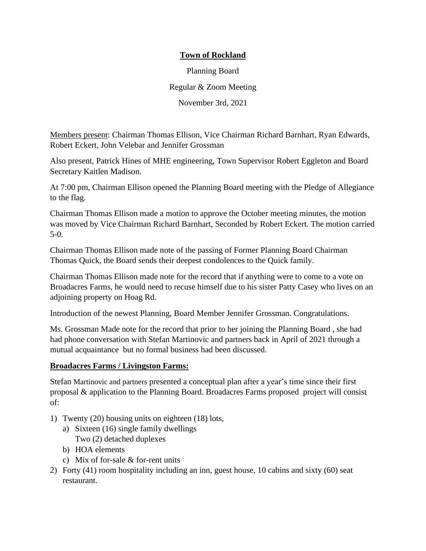# **Town of Rockland**

Planning Board Regular & Zoom Meeting November 3rd, 2021

Members present: Chairman Thomas Ellison, Vice Chairman Richard Barnhart, Ryan Edwards, Robert Eckert, John Velebar and Jennifer Grossman

Also present, Patrick Hines of MHE engineering, Town Supervisor Robert Eggleton and Board Secretary Kaitlen Madison.

At 7:00 pm, Chairman Ellison opened the Planning Board meeting with the Pledge of Allegiance to the flag.

Chairman Thomas Ellison made a motion to approve the October meeting minutes, the motion was moved by Vice Chairman Richard Barnhart, Seconded by Robert Eckert. The motion carried 5-0.

Chairman Thomas Ellison made note of the passing of Former Planning Board Chairman Thomas Quick, the Board sends their deepest condolences to the Quick family.

Chairman Thomas Ellison made note for the record that if anything were to come to a vote on Broadacres Farms, he would need to recuse himself due to his sister Patty Casey who lives on an adjoining property on Hoag Rd.

Introduction of the newest Planning, Board Member Jennifer Grossman. Congratulations.

Ms. Grossman Made note for the record that prior to her joining the Planning Board , she had had phone conversation with Stefan Martinovic and partners back in April of 2021 through a mutual acquaintance but no formal business had been discussed.

### **Broadacres Farms / Livingston Farms:**

Stefan Martinovic and partners presented a conceptual plan after a year's time since their first proposal & application to the Planning Board. Broadacres Farms proposed project will consist of:

- 1) Twenty (20) housing units on eighteen (18) lots,
	- a) Sixteen (16) single family dwellings Two (2) detached duplexes
	- b) HOA elements
	- c) Mix of for-sale & for-rent units
- 2) Forty (41) room hospitality including an inn, guest house, 10 cabins and sixty (60) seat restaurant.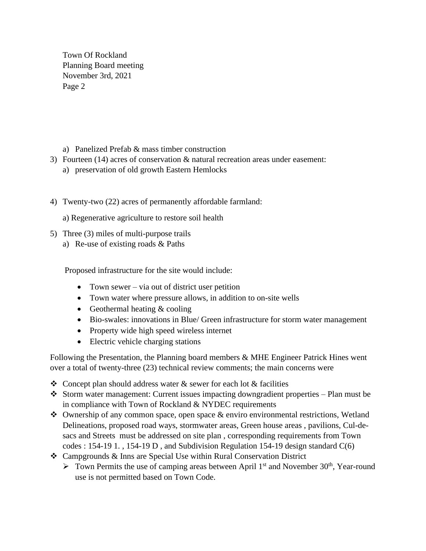Town Of Rockland Planning Board meeting November 3rd, 2021 Page 2

- a) Panelized Prefab & mass timber construction
- 3) Fourteen (14) acres of conservation & natural recreation areas under easement:
	- a) preservation of old growth Eastern Hemlocks
- 4) Twenty-two (22) acres of permanently affordable farmland:
	- a) Regenerative agriculture to restore soil health
- 5) Three (3) miles of multi-purpose trails
	- a) Re-use of existing roads & Paths

Proposed infrastructure for the site would include:

- Town sewer via out of district user petition
- Town water where pressure allows, in addition to on-site wells
- Geothermal heating & cooling
- Bio-swales: innovations in Blue/ Green infrastructure for storm water management
- Property wide high speed wireless internet
- Electric vehicle charging stations

Following the Presentation, the Planning board members & MHE Engineer Patrick Hines went over a total of twenty-three (23) technical review comments; the main concerns were

- $\triangle$  Concept plan should address water  $\&$  sewer for each lot  $\&$  facilities
- ❖ Storm water management: Current issues impacting downgradient properties Plan must be in compliance with Town of Rockland & NYDEC requirements
- ❖ Ownership of any common space, open space & enviro environmental restrictions, Wetland Delineations, proposed road ways, stormwater areas, Green house areas , pavilions, Cul-desacs and Streets must be addressed on site plan , corresponding requirements from Town codes : 154-19 1., 154-19 D, and Subdivision Regulation 154-19 design standard  $C(6)$
- ❖ Campgrounds & Inns are Special Use within Rural Conservation District
	- ▶ Town Permits the use of camping areas between April 1<sup>st</sup> and November 30<sup>th</sup>, Year-round use is not permitted based on Town Code.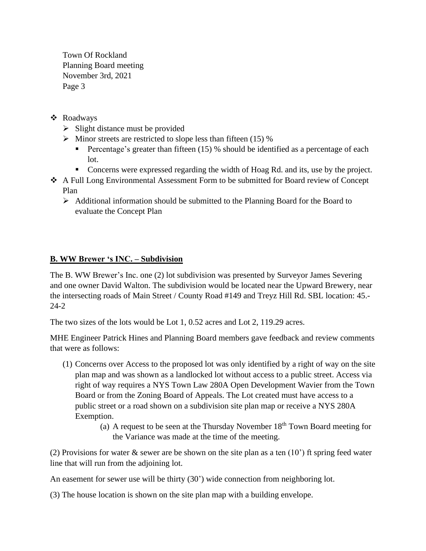Town Of Rockland Planning Board meeting November 3rd, 2021 Page 3

- ❖ Roadways
	- $\triangleright$  Slight distance must be provided
	- $\triangleright$  Minor streets are restricted to slope less than fifteen (15) %
		- **•** Percentage's greater than fifteen (15) % should be identified as a percentage of each lot.
		- Concerns were expressed regarding the width of Hoag Rd. and its, use by the project.
- ❖ A Full Long Environmental Assessment Form to be submitted for Board review of Concept Plan
	- $\triangleright$  Additional information should be submitted to the Planning Board for the Board to evaluate the Concept Plan

# **B. WW Brewer 's INC. – Subdivision**

The B. WW Brewer's Inc. one (2) lot subdivision was presented by Surveyor James Severing and one owner David Walton. The subdivision would be located near the Upward Brewery, near the intersecting roads of Main Street / County Road #149 and Treyz Hill Rd. SBL location: 45.- 24-2

The two sizes of the lots would be Lot 1, 0.52 acres and Lot 2, 119.29 acres.

MHE Engineer Patrick Hines and Planning Board members gave feedback and review comments that were as follows:

- (1) Concerns over Access to the proposed lot was only identified by a right of way on the site plan map and was shown as a landlocked lot without access to a public street. Access via right of way requires a NYS Town Law 280A Open Development Wavier from the Town Board or from the Zoning Board of Appeals. The Lot created must have access to a public street or a road shown on a subdivision site plan map or receive a NYS 280A Exemption.
	- (a) A request to be seen at the Thursday November  $18<sup>th</sup>$  Town Board meeting for the Variance was made at the time of the meeting.

(2) Provisions for water  $\&$  sewer are be shown on the site plan as a ten (10') ft spring feed water line that will run from the adjoining lot.

An easement for sewer use will be thirty (30') wide connection from neighboring lot.

(3) The house location is shown on the site plan map with a building envelope.